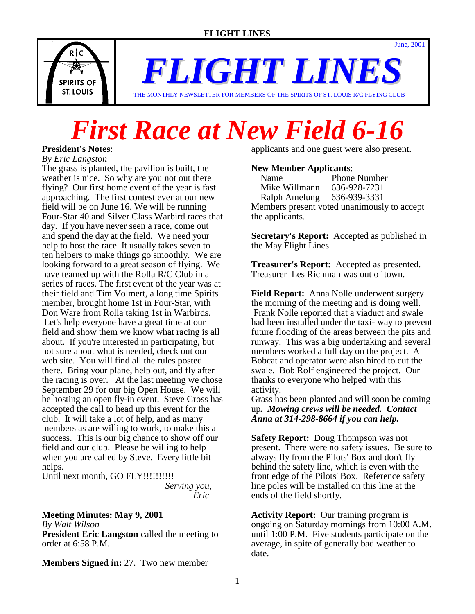

*FLIGHT LINE* 

THE MONTHLY NEWSLETTER FOR MEMBERS OF THE SPIRITS OF ST. LOUIS R/C FLYING CLUB

# *First Race at New Field 6-16*

**President's Notes**: *By Eric Langston* The grass is planted, the pavilion is built, the weather is nice. So why are you not out there flying? Our first home event of the year is fast approaching. The first contest ever at our new field will be on June 16. We will be running Four-Star 40 and Silver Class Warbird races that day. If you have never seen a race, come out and spend the day at the field. We need your help to host the race. It usually takes seven to ten helpers to make things go smoothly. We are looking forward to a great season of flying. We have teamed up with the Rolla R/C Club in a series of races. The first event of the year was at their field and Tim Volmert, a long time Spirits member, brought home 1st in Four-Star, with Don Ware from Rolla taking 1st in Warbirds. Let's help everyone have a great time at our field and show them we know what racing is all about. If you're interested in participating, but not sure about what is needed, check out our web site. You will find all the rules posted there. Bring your plane, help out, and fly after the racing is over. At the last meeting we chose September 29 for our big Open House. We will be hosting an open fly-in event. Steve Cross has accepted the call to head up this event for the club. It will take a lot of help, and as many members as are willing to work, to make this a success. This is our big chance to show off our field and our club. Please be willing to help when you are called by Steve. Every little bit helps. Until next month, GO FLY!!!!!!!!!!

 *Serving you, Eric* 

# **Meeting Minutes: May 9, 2001**

*By Walt Wilson*

**President Eric Langston** called the meeting to order at 6:58 P.M.

**Members Signed in:** 27. Two new member

applicants and one guest were also present.

June, 2001

### **New Member Applicants**:

| Name                                        | <b>Phone Number</b> |
|---------------------------------------------|---------------------|
| Mike Willmann                               | 636-928-7231        |
| Ralph Amelung 636-939-3331                  |                     |
| Members present voted unanimously to accept |                     |
| the applicants.                             |                     |

**Secretary's Report:** Accepted as published in the May Flight Lines.

**Treasurer's Report:** Accepted as presented. Treasurer Les Richman was out of town.

**Field Report:** Anna Nolle underwent surgery the morning of the meeting and is doing well. Frank Nolle reported that a viaduct and swale had been installed under the taxi- way to prevent future flooding of the areas between the pits and runway. This was a big undertaking and several members worked a full day on the project. A Bobcat and operator were also hired to cut the swale. Bob Rolf engineered the project. Our thanks to everyone who helped with this activity.

Grass has been planted and will soon be coming up*. Mowing crews will be needed. Contact Anna at 314-298-8664 if you can help.* 

**Safety Report:** Doug Thompson was not present. There were no safety issues. Be sure to always fly from the Pilots' Box and don't fly behind the safety line, which is even with the front edge of the Pilots' Box. Reference safety line poles will be installed on this line at the ends of the field shortly.

**Activity Report:** Our training program is ongoing on Saturday mornings from 10:00 A.M. until 1:00 P.M. Five students participate on the average, in spite of generally bad weather to date.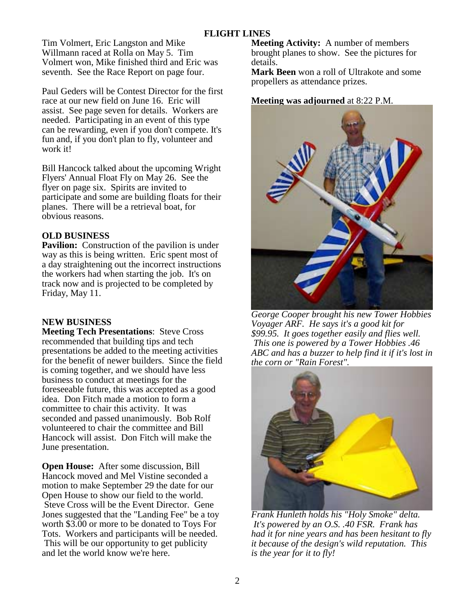Tim Volmert, Eric Langston and Mike Willmann raced at Rolla on May 5. Tim Volmert won, Mike finished third and Eric was seventh. See the Race Report on page four.

Paul Geders will be Contest Director for the first race at our new field on June 16. Eric will assist. See page seven for details. Workers are needed. Participating in an event of this type can be rewarding, even if you don't compete. It's fun and, if you don't plan to fly, volunteer and work it!

Bill Hancock talked about the upcoming Wright Flyers' Annual Float Fly on May 26. See the flyer on page six. Spirits are invited to participate and some are building floats for their planes. There will be a retrieval boat, for obvious reasons.

# **OLD BUSINESS**

**Pavilion:** Construction of the pavilion is under way as this is being written. Eric spent most of a day straightening out the incorrect instructions the workers had when starting the job. It's on track now and is projected to be completed by Friday, May 11.

# **NEW BUSINESS**

**Meeting Tech Presentations**: Steve Cross recommended that building tips and tech presentations be added to the meeting activities for the benefit of newer builders. Since the field is coming together, and we should have less business to conduct at meetings for the foreseeable future, this was accepted as a good idea. Don Fitch made a motion to form a committee to chair this activity. It was seconded and passed unanimously. Bob Rolf volunteered to chair the committee and Bill Hancock will assist. Don Fitch will make the June presentation.

**Open House:** After some discussion, Bill Hancock moved and Mel Vistine seconded a motion to make September 29 the date for our Open House to show our field to the world. Steve Cross will be the Event Director. Gene Jones suggested that the "Landing Fee" be a toy worth \$3.00 or more to be donated to Toys For Tots. Workers and participants will be needed. This will be our opportunity to get publicity and let the world know we're here.

**Meeting Activity:** A number of members brought planes to show. See the pictures for details.

**Mark Been** won a roll of Ultrakote and some propellers as attendance prizes.

# **Meeting was adjourned** at 8:22 P.M.



*George Cooper brought his new Tower Hobbies Voyager ARF. He says it's a good kit for \$99.95. It goes together easily and flies well. This one is powered by a Tower Hobbies .46 ABC and has a buzzer to help find it if it's lost in the corn or "Rain Forest".* 



*Frank Hunleth holds his "Holy Smoke" delta. It's powered by an O.S. .40 FSR. Frank has had it for nine years and has been hesitant to fly it because of the design's wild reputation. This is the year for it to fly!*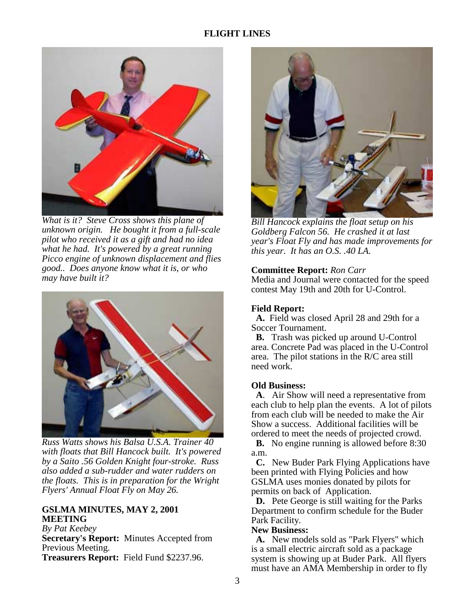

*What is it? Steve Cross shows this plane of unknown origin. He bought it from a full-scale pilot who received it as a gift and had no idea what he had. It's powered by a great running Picco engine of unknown displacement and flies good.. Does anyone know what it is, or who may have built it?* 



*Russ Watts shows his Balsa U.S.A. Trainer 40 with floats that Bill Hancock built. It's powered by a Saito .56 Golden Knight four-stroke. Russ also added a sub-rudder and water rudders on the floats. This is in preparation for the Wright Flyers' Annual Float Fly on May 26.* 

## **GSLMA MINUTES, MAY 2, 2001 MEETING**

*By Pat Keebey* **Secretary's Report:** Minutes Accepted from Previous Meeting. **Treasurers Report:** Field Fund \$2237.96.



*Bill Hancock explains the float setup on his Goldberg Falcon 56. He crashed it at last year's Float Fly and has made improvements for this year. It has an O.S. .40 LA.* 

## **Committee Report:** *Ron Carr*

Media and Journal were contacted for the speed contest May 19th and 20th for U-Control.

## **Field Report:**

 **A.** Field was closed April 28 and 29th for a Soccer Tournament.

 **B.** Trash was picked up around U-Control area. Concrete Pad was placed in the U-Control area. The pilot stations in the R/C area still need work.

## **Old Business:**

 **A**. Air Show will need a representative from each club to help plan the events. A lot of pilots from each club will be needed to make the Air Show a success. Additional facilities will be ordered to meet the needs of projected crowd.

 **B.** No engine running is allowed before 8:30 a.m.

 **C.** New Buder Park Flying Applications have been printed with Flying Policies and how GSLMA uses monies donated by pilots for permits on back of Application.

 **D.** Pete George is still waiting for the Parks Department to confirm schedule for the Buder Park Facility.

#### **New Business:**

 **A.** New models sold as "Park Flyers" which is a small electric aircraft sold as a package system is showing up at Buder Park. All flyers must have an AMA Membership in order to fly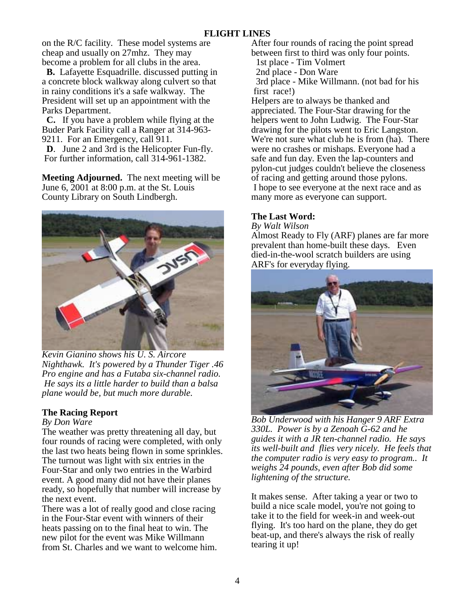on the R/C facility. These model systems are cheap and usually on 27mhz. They may become a problem for all clubs in the area.

 **B.** Lafayette Esquadrille. discussed putting in a concrete block walkway along culvert so that in rainy conditions it's a safe walkway. The President will set up an appointment with the Parks Department.

 **C.** If you have a problem while flying at the Buder Park Facility call a Ranger at 314-963- 9211. For an Emergency, call 911.

 **D**. June 2 and 3rd is the Helicopter Fun-fly. For further information, call 314-961-1382.

**Meeting Adjourned.** The next meeting will be June 6, 2001 at 8:00 p.m. at the St. Louis County Library on South Lindbergh.



 *Kevin Gianino shows his U. S. Aircore Nighthawk. It's powered by a Thunder Tiger .46 Pro engine and has a Futaba six-channel radio. He says its a little harder to build than a balsa plane would be, but much more durable.* 

# **The Racing Report**

## *By Don Ware*

The weather was pretty threatening all day, but four rounds of racing were completed, with only the last two heats being flown in some sprinkles. The turnout was light with six entries in the Four-Star and only two entries in the Warbird event. A good many did not have their planes ready, so hopefully that number will increase by the next event.

There was a lot of really good and close racing in the Four-Star event with winners of their heats passing on to the final heat to win. The new pilot for the event was Mike Willmann from St. Charles and we want to welcome him. After four rounds of racing the point spread between first to third was only four points.

1st place - Tim Volmert

2nd place - Don Ware

 3rd place - Mike Willmann. (not bad for his first race!)

Helpers are to always be thanked and appreciated. The Four-Star drawing for the helpers went to John Ludwig. The Four-Star drawing for the pilots went to Eric Langston. We're not sure what club he is from (ha). There were no crashes or mishaps. Everyone had a safe and fun day. Even the lap-counters and pylon-cut judges couldn't believe the closeness of racing and getting around those pylons. I hope to see everyone at the next race and as many more as everyone can support.

# **The Last Word:**

*By Walt Wilson*

Almost Ready to Fly (ARF) planes are far more prevalent than home-built these days. Even died-in-the-wool scratch builders are using ARF's for everyday flying.



*Bob Underwood with his Hanger 9 ARF Extra 330L. Power is by a Zenoah G-62 and he guides it with a JR ten-channel radio. He says its well-built and flies very nicely. He feels that the computer radio is very easy to program.. It weighs 24 pounds, even after Bob did some lightening of the structure.* 

It makes sense. After taking a year or two to build a nice scale model, you're not going to take it to the field for week-in and week-out flying. It's too hard on the plane, they do get beat-up, and there's always the risk of really tearing it up!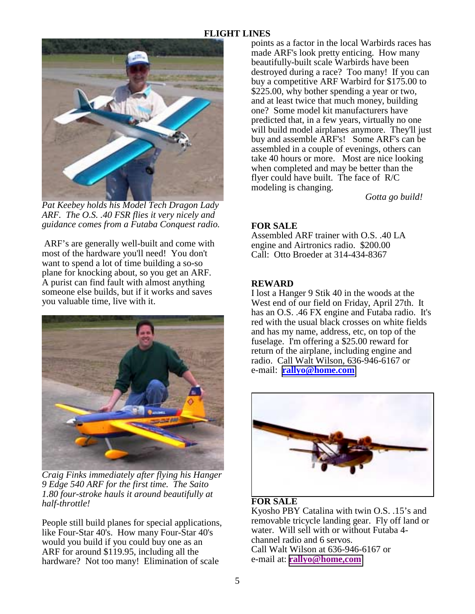# **FLIGHT LINES**



*Pat Keebey holds his Model Tech Dragon Lady ARF. The O.S. .40 FSR flies it very nicely and guidance comes from a Futaba Conquest radio.* 

 ARF's are generally well-built and come with most of the hardware you'll need! You don't want to spend a lot of time building a so-so plane for knocking about, so you get an ARF. A purist can find fault with almost anything someone else builds, but if it works and saves you valuable time, live with it.



*Craig Finks immediately after flying his Hanger 9 Edge 540 ARF for the first time. The Saito 1.80 four-stroke hauls it around beautifully at half-throttle!* 

People still build planes for special applications, like Four-Star 40's. How many Four-Star 40's would you build if you could buy one as an ARF for around \$119.95, including all the hardware? Not too many! Elimination of scale

points as a factor in the local Warbirds races has made ARF's look pretty enticing. How many beautifully-built scale Warbirds have been destroyed during a race? Too many! If you can buy a competitive ARF Warbird for \$175.00 to \$225.00, why bother spending a year or two, and at least twice that much money, building one? Some model kit manufacturers have predicted that, in a few years, virtually no one will build model airplanes anymore. They'll just buy and assemble ARF's! Some ARF's can be assembled in a couple of evenings, others can take 40 hours or more. Most are nice looking when completed and may be better than the flyer could have built. The face of R/C modeling is changing.

*Gotta go build!*

# **FOR SALE**

Assembled ARF trainer with O.S. .40 LA engine and Airtronics radio. \$200.00 Call: Otto Broeder at 314-434-8367

## **REWARD**

I lost a Hanger 9 Stik 40 in the woods at the West end of our field on Friday, April 27th. It has an O.S. .46 FX engine and Futaba radio. It's red with the usual black crosses on white fields and has my name, address, etc, on top of the fuselage. I'm offering a \$25.00 reward for return of the airplane, including engine and radio. Call Walt Wilson, 636-946-6167 or e-mail: **[rallyo@home.com](mailto:rallyo@home.com)**



## **FOR SALE**

Kyosho PBY Catalina with twin O.S. .15's and removable tricycle landing gear. Fly off land or water. Will sell with or without Futaba 4 channel radio and 6 servos. Call Walt Wilson at 636-946-6167 or e-mail at: **[rallyo@home,com](mailto:rallyo@home,com)**